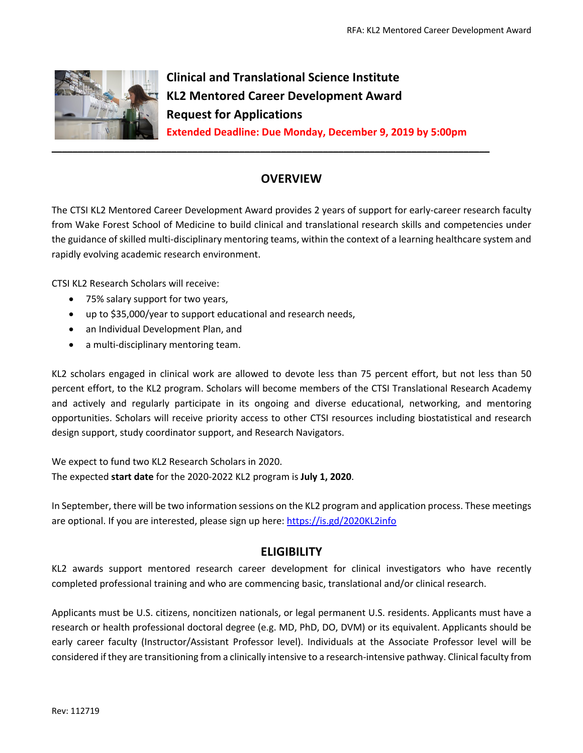

**Clinical and Translational Science Institute KL2 Mentored Career Development Award Request for Applications Extended Deadline: Due Monday, December 9, 2019 by 5:00pm**

# **OVERVIEW**

The CTSI KL2 Mentored Career Development Award provides 2 years of support for early-career research faculty from Wake Forest School of Medicine to build clinical and translational research skills and competencies under the guidance of skilled multi-disciplinary mentoring teams, within the context of a learning healthcare system and rapidly evolving academic research environment.

CTSI KL2 Research Scholars will receive:

- 75% salary support for two years,
- up to \$35,000/year to support educational and research needs,
- an Individual Development Plan, and
- a multi-disciplinary mentoring team.

KL2 scholars engaged in clinical work are allowed to devote less than 75 percent effort, but not less than 50 percent effort, to the KL2 program. Scholars will become members of the CTSI Translational Research Academy and actively and regularly participate in its ongoing and diverse educational, networking, and mentoring opportunities. Scholars will receive priority access to other CTSI resources including biostatistical and research design support, study coordinator support, and Research Navigators.

We expect to fund two KL2 Research Scholars in 2020. The expected **start date** for the 2020-2022 KL2 program is **July 1, 2020**.

In September, there will be two information sessions on the KL2 program and application process. These meetings are optional. If you are interested, please sign up here: https://is.gd/2020KL2info

## **ELIGIBILITY**

KL2 awards support mentored research career development for clinical investigators who have recently completed professional training and who are commencing basic, translational and/or clinical research.

Applicants must be U.S. citizens, noncitizen nationals, or legal permanent U.S. residents. Applicants must have a research or health professional doctoral degree (e.g. MD, PhD, DO, DVM) or its equivalent. Applicants should be early career faculty (Instructor/Assistant Professor level). Individuals at the Associate Professor level will be considered if they are transitioning from a clinically intensive to a research-intensive pathway. Clinical faculty from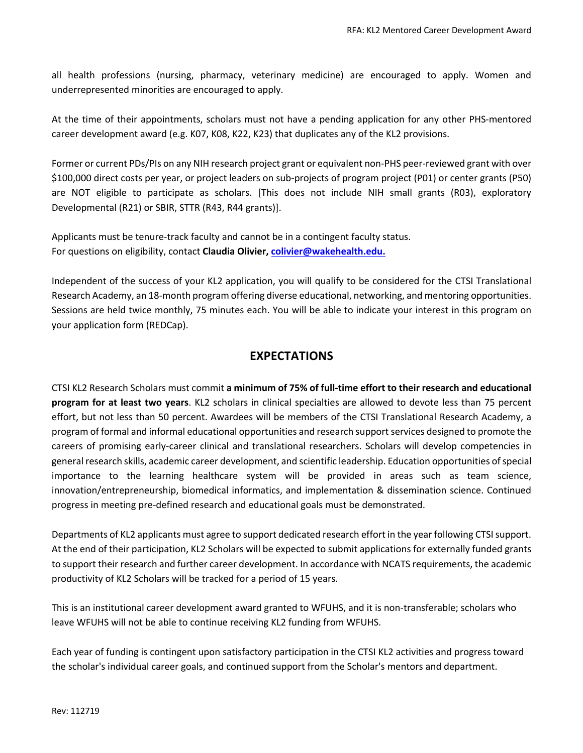all health professions (nursing, pharmacy, veterinary medicine) are encouraged to apply. Women and underrepresented minorities are encouraged to apply.

At the time of their appointments, scholars must not have a pending application for any other PHS-mentored career development award (e.g. K07, K08, K22, K23) that duplicates any of the KL2 provisions.

Former or current PDs/PIs on any NIH research project grant or equivalent non-PHS peer-reviewed grant with over \$100,000 direct costs per year, or project leaders on sub-projects of program project (P01) or center grants (P50) are NOT eligible to participate as scholars. [This does not include NIH small grants (R03), exploratory Developmental (R21) or SBIR, STTR (R43, R44 grants)].

Applicants must be tenure-track faculty and cannot be in a contingent faculty status. For questions on eligibility, contact **Claudia Olivier, colivier@wakehealth.edu.**

Independent of the success of your KL2 application, you will qualify to be considered for the CTSI Translational Research Academy, an 18-month program offering diverse educational, networking, and mentoring opportunities. Sessions are held twice monthly, 75 minutes each. You will be able to indicate your interest in this program on your application form (REDCap).

## **EXPECTATIONS**

CTSI KL2 Research Scholars must commit **a minimum of 75% of full-time effort to their research and educational program for at least two years**. KL2 scholars in clinical specialties are allowed to devote less than 75 percent effort, but not less than 50 percent. Awardees will be members of the CTSI Translational Research Academy, a program of formal and informal educational opportunities and research support services designed to promote the careers of promising early-career clinical and translational researchers. Scholars will develop competencies in general research skills, academic career development, and scientific leadership. Education opportunities of special importance to the learning healthcare system will be provided in areas such as team science, innovation/entrepreneurship, biomedical informatics, and implementation & dissemination science. Continued progress in meeting pre-defined research and educational goals must be demonstrated.

Departments of KL2 applicants must agree to support dedicated research effort in the year following CTSI support. At the end of their participation, KL2 Scholars will be expected to submit applications for externally funded grants to support their research and further career development. In accordance with NCATS requirements, the academic productivity of KL2 Scholars will be tracked for a period of 15 years.

This is an institutional career development award granted to WFUHS, and it is non-transferable; scholars who leave WFUHS will not be able to continue receiving KL2 funding from WFUHS.

Each year of funding is contingent upon satisfactory participation in the CTSI KL2 activities and progress toward the scholar's individual career goals, and continued support from the Scholar's mentors and department.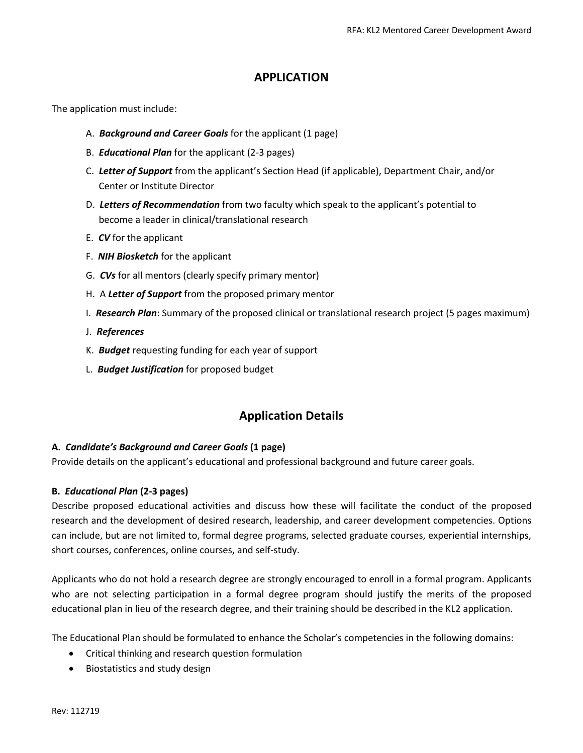# **APPLICATION**

The application must include:

- A. *Background and Career Goals* for the applicant (1 page)
- B. *Educational Plan* for the applicant (2-3 pages)
- C. *Letter of Support* from the applicant's Section Head (if applicable), Department Chair, and/or Center or Institute Director
- D. *Letters of Recommendation* from two faculty which speak to the applicant's potential to become a leader in clinical/translational research
- E. *CV* for the applicant
- F. *NIH Biosketch* for the applicant
- G. *CVs* for all mentors (clearly specify primary mentor)
- H. A *Letter of Support* from the proposed primary mentor
- I. *Research Plan*: Summary of the proposed clinical or translational research project (5 pages maximum)
- J. *References*
- K. *Budget* requesting funding for each year of support
- L. *Budget Justification* for proposed budget

# **Application Details**

### **A.** *Candidate's Background and Career Goals* **(1 page)**

Provide details on the applicant's educational and professional background and future career goals.

#### **B.** *Educational Plan* **(2-3 pages)**

Describe proposed educational activities and discuss how these will facilitate the conduct of the proposed research and the development of desired research, leadership, and career development competencies. Options can include, but are not limited to, formal degree programs, selected graduate courses, experiential internships, short courses, conferences, online courses, and self-study.

Applicants who do not hold a research degree are strongly encouraged to enroll in a formal program. Applicants who are not selecting participation in a formal degree program should justify the merits of the proposed educational plan in lieu of the research degree, and their training should be described in the KL2 application.

The Educational Plan should be formulated to enhance the Scholar's competencies in the following domains:

- Critical thinking and research question formulation
- Biostatistics and study design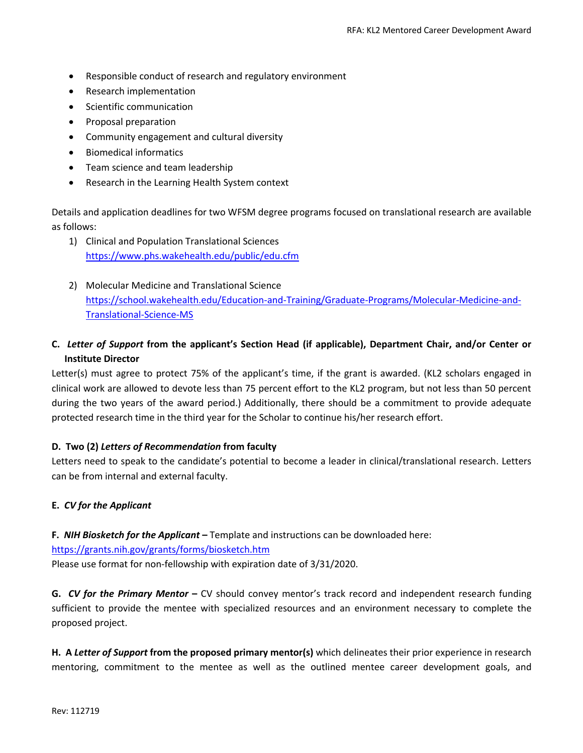- Responsible conduct of research and regulatory environment
- Research implementation
- Scientific communication
- Proposal preparation
- Community engagement and cultural diversity
- Biomedical informatics
- Team science and team leadership
- Research in the Learning Health System context

Details and application deadlines for two WFSM degree programs focused on translational research are available as follows:

- 1) Clinical and Population Translational Sciences https://www.phs.wakehealth.edu/public/edu.cfm
- 2) Molecular Medicine and Translational Science https://school.wakehealth.edu/Education-and-Training/Graduate-Programs/Molecular-Medicine-and-Translational-Science-MS
- **C.** *Letter of Support* **from the applicant's Section Head (if applicable), Department Chair, and/or Center or Institute Director**

Letter(s) must agree to protect 75% of the applicant's time, if the grant is awarded. (KL2 scholars engaged in clinical work are allowed to devote less than 75 percent effort to the KL2 program, but not less than 50 percent during the two years of the award period.) Additionally, there should be a commitment to provide adequate protected research time in the third year for the Scholar to continue his/her research effort.

### **D. Two (2)** *Letters of Recommendation* **from faculty**

Letters need to speak to the candidate's potential to become a leader in clinical/translational research. Letters can be from internal and external faculty.

### **E.** *CV for the Applicant*

**F.** *NIH Biosketch for the Applicant* **–** Template and instructions can be downloaded here: https://grants.nih.gov/grants/forms/biosketch.htm Please use format for non-fellowship with expiration date of 3/31/2020.

**G.** *CV for the Primary Mentor* **–** CV should convey mentor's track record and independent research funding sufficient to provide the mentee with specialized resources and an environment necessary to complete the proposed project.

**H. A** *Letter of Support* **from the proposed primary mentor(s)** which delineates their prior experience in research mentoring, commitment to the mentee as well as the outlined mentee career development goals, and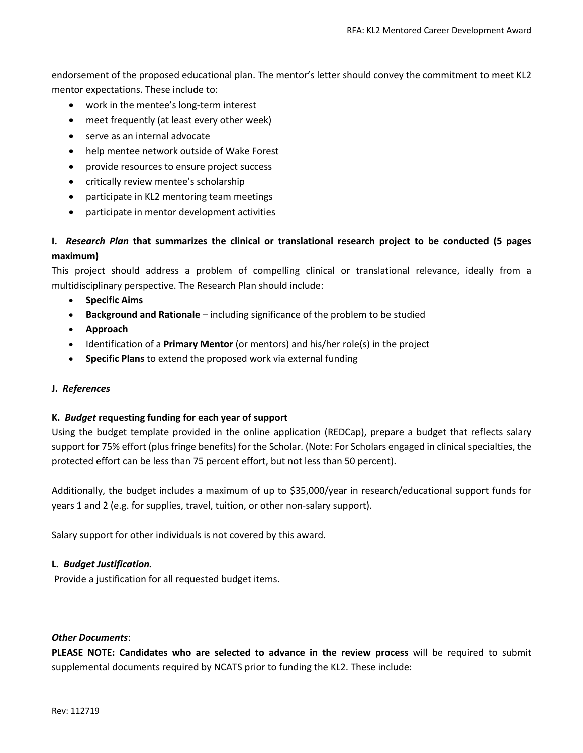endorsement of the proposed educational plan. The mentor's letter should convey the commitment to meet KL2 mentor expectations. These include to:

- work in the mentee's long-term interest
- meet frequently (at least every other week)
- serve as an internal advocate
- help mentee network outside of Wake Forest
- provide resources to ensure project success
- critically review mentee's scholarship
- participate in KL2 mentoring team meetings
- participate in mentor development activities

### **I.** *Research Plan* **that summarizes the clinical or translational research project to be conducted (5 pages maximum)**

This project should address a problem of compelling clinical or translational relevance, ideally from a multidisciplinary perspective. The Research Plan should include:

- **Specific Aims**
- **Background and Rationale** including significance of the problem to be studied
- **Approach**
- Identification of a **Primary Mentor** (or mentors) and his/her role(s) in the project
- **Specific Plans** to extend the proposed work via external funding

#### **J.** *References*

#### **K.** *Budget* **requesting funding for each year of support**

Using the budget template provided in the online application (REDCap), prepare a budget that reflects salary support for 75% effort (plus fringe benefits) for the Scholar. (Note: For Scholars engaged in clinical specialties, the protected effort can be less than 75 percent effort, but not less than 50 percent).

Additionally, the budget includes a maximum of up to \$35,000/year in research/educational support funds for years 1 and 2 (e.g. for supplies, travel, tuition, or other non-salary support).

Salary support for other individuals is not covered by this award.

#### **L.** *Budget Justification.*

Provide a justification for all requested budget items.

#### *Other Documents*:

**PLEASE NOTE: Candidates who are selected to advance in the review process** will be required to submit supplemental documents required by NCATS prior to funding the KL2. These include: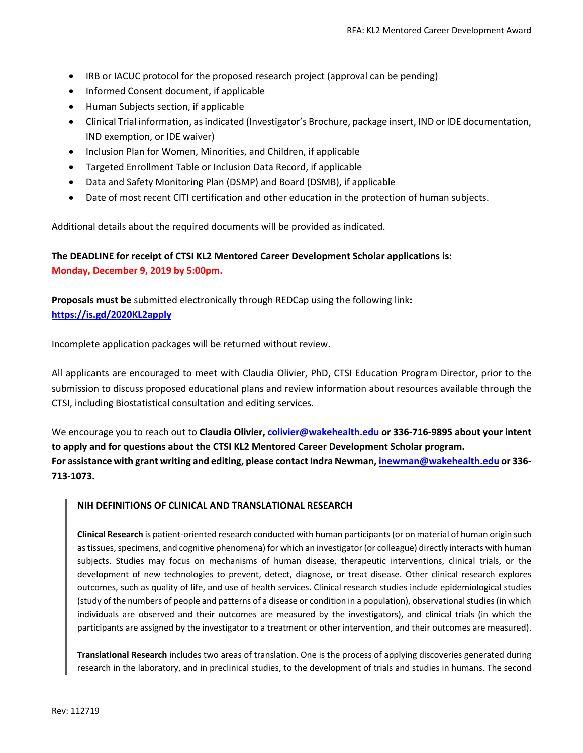- IRB or IACUC protocol for the proposed research project (approval can be pending)
- Informed Consent document, if applicable
- Human Subjects section, if applicable
- Clinical Trial information, as indicated (Investigator's Brochure, package insert, IND or IDE documentation, IND exemption, or IDE waiver)
- Inclusion Plan for Women, Minorities, and Children, if applicable
- Targeted Enrollment Table or Inclusion Data Record, if applicable
- Data and Safety Monitoring Plan (DSMP) and Board (DSMB), if applicable
- Date of most recent CITI certification and other education in the protection of human subjects.

Additional details about the required documents will be provided as indicated.

### **The DEADLINE for receipt of CTSI KL2 Mentored Career Development Scholar applications is: Monday, December 9, 2019 by 5:00pm.**

**Proposals must be** submitted electronically through REDCap using the following link**: https://is.gd/2020KL2apply**

Incomplete application packages will be returned without review.

All applicants are encouraged to meet with Claudia Olivier, PhD, CTSI Education Program Director, prior to the submission to discuss proposed educational plans and review information about resources available through the CTSI, including Biostatistical consultation and editing services.

We encourage you to reach out to **Claudia Olivier, colivier@wakehealth.edu or 336-716-9895 about your intent to apply and for questions about the CTSI KL2 Mentored Career Development Scholar program. For assistance with grant writing and editing, please contact Indra Newman, inewman@wakehealth.edu or 336- 713-1073.**

#### **NIH DEFINITIONS OF CLINICAL AND TRANSLATIONAL RESEARCH**

**Clinical Research** is patient-oriented research conducted with human participants (or on material of human origin such as tissues, specimens, and cognitive phenomena) for which an investigator (or colleague) directly interacts with human subjects. Studies may focus on mechanisms of human disease, therapeutic interventions, clinical trials, or the development of new technologies to prevent, detect, diagnose, or treat disease. Other clinical research explores outcomes, such as quality of life, and use of health services. Clinical research studies include epidemiological studies (study of the numbers of people and patterns of a disease or condition in a population), observational studies (in which individuals are observed and their outcomes are measured by the investigators), and clinical trials (in which the participants are assigned by the investigator to a treatment or other intervention, and their outcomes are measured).

**Translational Research** includes two areas of translation. One is the process of applying discoveries generated during research in the laboratory, and in preclinical studies, to the development of trials and studies in humans. The second